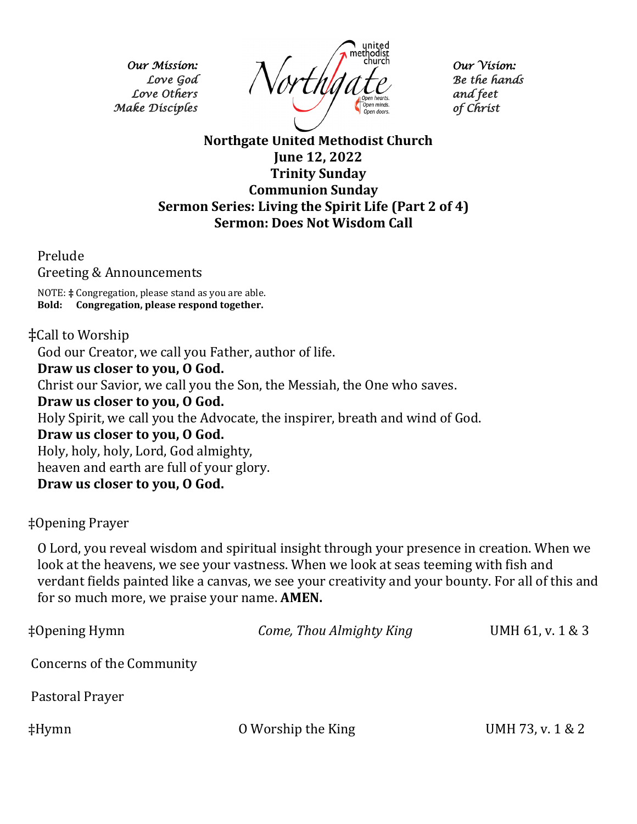*Our Mission: Love God Love Others Make Disciples* 



*Our Vision: Be the hands and feet of Christ* 

## **Northgate United Methodist Church June 12, 2022 Trinity Sunday Communion Sunday Sermon Series: Living the Spirit Life (Part 2 of 4) Sermon: Does Not Wisdom Call**

Prelude

Greeting & Announcements

NOTE: **‡** Congregation, please stand as you are able. **Bold: Congregation, please respond together.** 

## ‡Call to Worship

God our Creator, we call you Father, author of life.

**Draw us closer to you, O God.**

Christ our Savior, we call you the Son, the Messiah, the One who saves.

**Draw us closer to you, O God.**

Holy Spirit, we call you the Advocate, the inspirer, breath and wind of God.

**Draw us closer to you, O God.**

Holy, holy, holy, Lord, God almighty,

heaven and earth are full of your glory.

**Draw us closer to you, O God.**

‡Opening Prayer

O Lord, you reveal wisdom and spiritual insight through your presence in creation. When we look at the heavens, we see your vastness. When we look at seas teeming with fish and verdant fields painted like a canvas, we see your creativity and your bounty. For all of this and for so much more, we praise your name. **AMEN.**

| $\ddagger$ Opening Hymn   | Come, Thou Almighty King | UMH 61, v. 1 & 3 |
|---------------------------|--------------------------|------------------|
| Concerns of the Community |                          |                  |
| Pastoral Prayer           |                          |                  |
| $\ddagger$ Hymn           | O Worship the King       | UMH 73, v. 1 & 2 |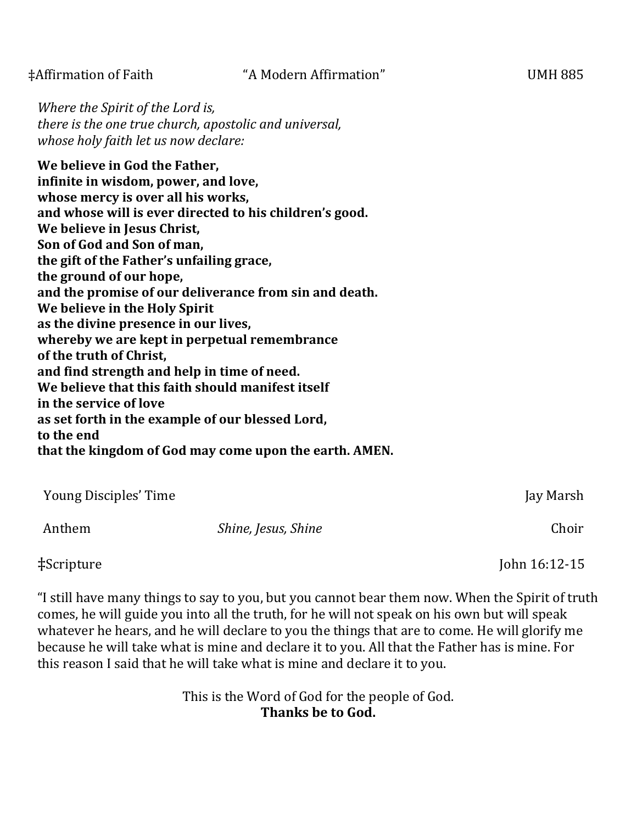*Where the Spirit of the Lord is, there is the one true church, apostolic and universal, whose holy faith let us now declare:*

**We believe in God the Father, infinite in wisdom, power, and love, whose mercy is over all his works, and whose will is ever directed to his children's good. We believe in Jesus Christ, Son of God and Son of man, the gift of the Father's unfailing grace, the ground of our hope, and the promise of our deliverance from sin and death. We believe in the Holy Spirit as the divine presence in our lives, whereby we are kept in perpetual remembrance of the truth of Christ, and find strength and help in time of need. We believe that this faith should manifest itself in the service of love as set forth in the example of our blessed Lord, to the end that the kingdom of God may come upon the earth. AMEN.** 

| Young Disciples' Time |                     | Jay Marsh |
|-----------------------|---------------------|-----------|
| Anthem                | Shine, Jesus, Shine | Choir     |
|                       |                     |           |

‡Scripture John 16:12-15

"I still have many things to say to you, but you cannot bear them now. When the Spirit of truth comes, he will guide you into all the truth, for he will not speak on his own but will speak whatever he hears, and he will declare to you the things that are to come. He will glorify me because he will take what is mine and declare it to you. All that the Father has is mine. For this reason I said that he will take what is mine and declare it to you.

> This is the Word of God for the people of God. **Thanks be to God.**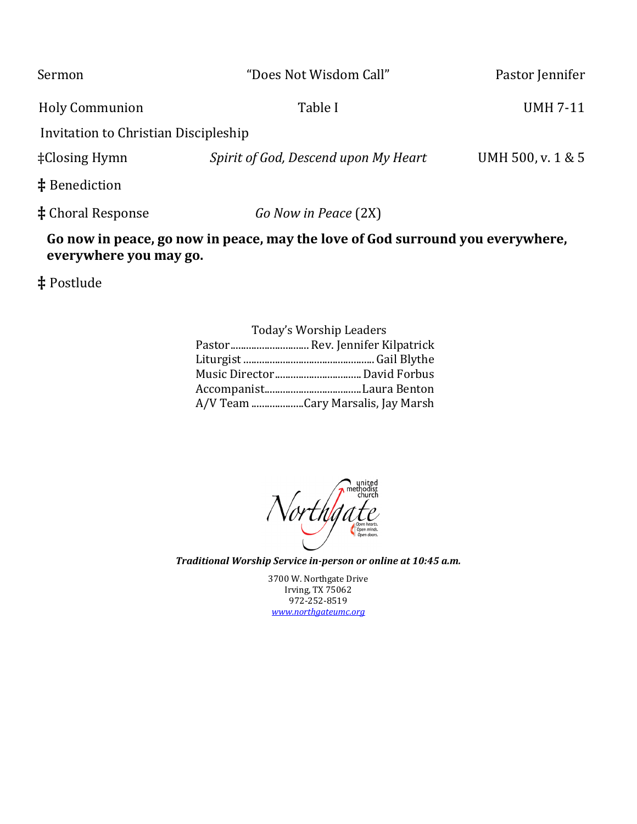| Sermon                               | "Does Not Wisdom Call"               | Pastor Jennifer   |
|--------------------------------------|--------------------------------------|-------------------|
| <b>Holy Communion</b>                | Table I                              | <b>UMH 7-11</b>   |
| Invitation to Christian Discipleship |                                      |                   |
| $\pm$ Closing Hymn                   | Spirit of God, Descend upon My Heart | UMH 500, v. 1 & 5 |
| $\ddagger$ Benediction               |                                      |                   |
| <b>‡</b> Choral Response             | Go Now in Peace (2X)                 |                   |

## **Go now in peace, go now in peace, may the love of God surround you everywhere, everywhere you may go.**

**‡** Postlude

| <b>Today's Worship Leaders</b>    |
|-----------------------------------|
| Pastor Rev. Jennifer Kilpatrick   |
|                                   |
|                                   |
|                                   |
| A/V Team Cary Marsalis, Jay Marsh |

Northgat thodist<br>church

*Traditional Worship Service in-person or online at 10:45 a.m.* 

3700 W. Northgate Drive Irving, TX 75062 972-252-8519 *[www.northgateumc.org](about:blank)*